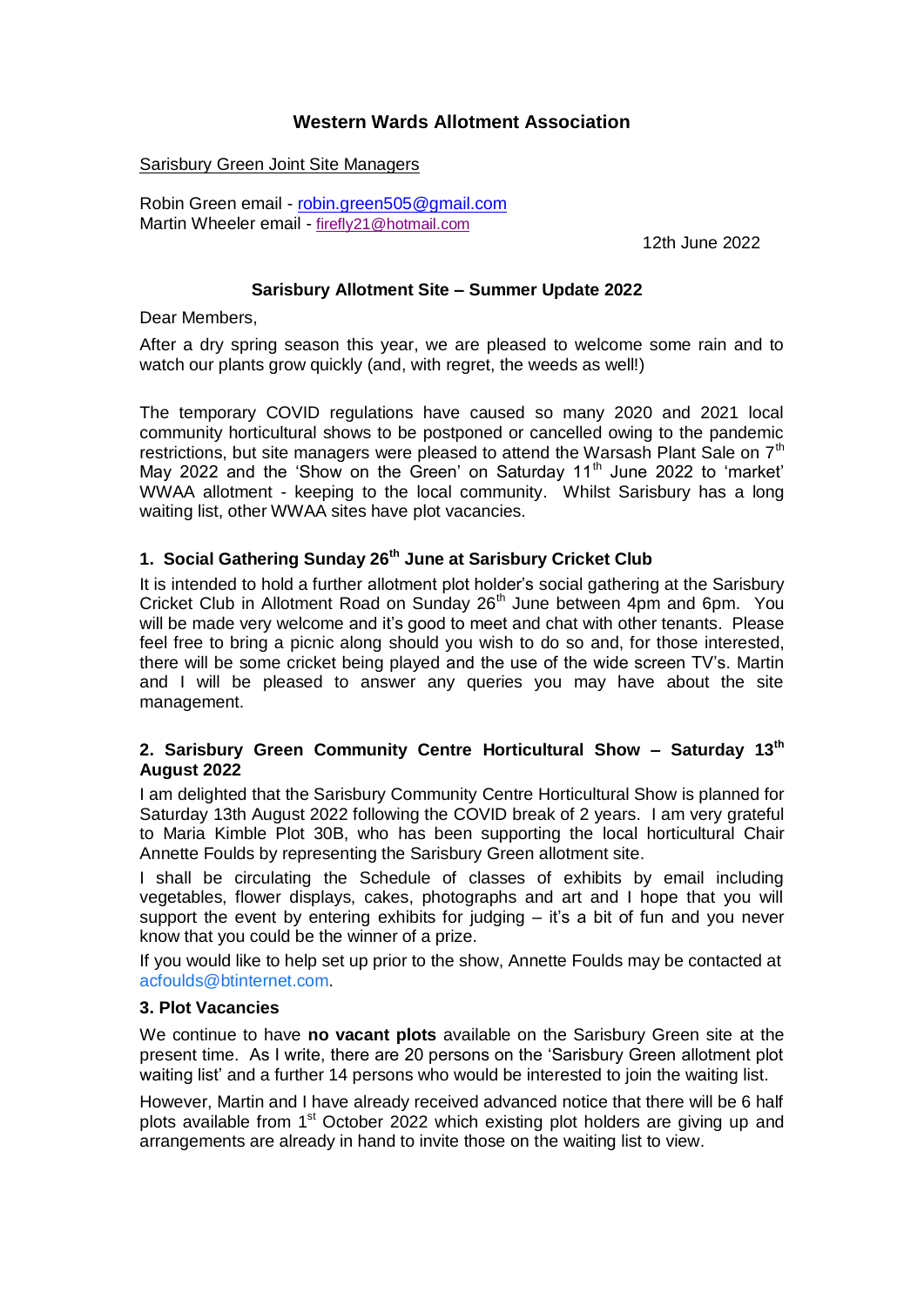# **Western Wards Allotment Association**

### Sarisbury Green Joint Site Managers

Robin Green email - [robin.green505@gmail.com](mailto:robin.green505@gmail.com) Martin Wheeler email - firefly21@hotmail.com

12th June 2022

# **Sarisbury Allotment Site – Summer Update 2022**

Dear Members,

After a dry spring season this year, we are pleased to welcome some rain and to watch our plants grow quickly (and, with regret, the weeds as well!)

The temporary COVID regulations have caused so many 2020 and 2021 local community horticultural shows to be postponed or cancelled owing to the pandemic restrictions, but site managers were pleased to attend the Warsash Plant Sale on  $7<sup>th</sup>$ May 2022 and the 'Show on the Green' on Saturday 11<sup>th</sup> June 2022 to 'market' WWAA allotment - keeping to the local community. Whilst Sarisbury has a long waiting list, other WWAA sites have plot vacancies.

# **1. Social Gathering Sunday 26th June at Sarisbury Cricket Club**

It is intended to hold a further allotment plot holder's social gathering at the Sarisbury Cricket Club in Allotment Road on Sunday 26<sup>th</sup> June between 4pm and 6pm. You will be made very welcome and it's good to meet and chat with other tenants. Please feel free to bring a picnic along should you wish to do so and, for those interested, there will be some cricket being played and the use of the wide screen TV's. Martin and I will be pleased to answer any queries you may have about the site management.

# **2. Sarisbury Green Community Centre Horticultural Show – Saturday 13th August 2022**

I am delighted that the Sarisbury Community Centre Horticultural Show is planned for Saturday 13th August 2022 following the COVID break of 2 years. I am very grateful to Maria Kimble Plot 30B, who has been supporting the local horticultural Chair Annette Foulds by representing the Sarisbury Green allotment site.

I shall be circulating the Schedule of classes of exhibits by email including vegetables, flower displays, cakes, photographs and art and I hope that you will support the event by entering exhibits for judging  $-$  it's a bit of fun and you never know that you could be the winner of a prize.

If you would like to help set up prior to the show, Annette Foulds may be contacted at [acfoulds@btinternet.com.](mailto:acfoulds@btinternet.com)

# **3. Plot Vacancies**

We continue to have **no vacant plots** available on the Sarisbury Green site at the present time. As I write, there are 20 persons on the 'Sarisbury Green allotment plot waiting list' and a further 14 persons who would be interested to join the waiting list.

However, Martin and I have already received advanced notice that there will be 6 half plots available from 1<sup>st</sup> October 2022 which existing plot holders are giving up and arrangements are already in hand to invite those on the waiting list to view.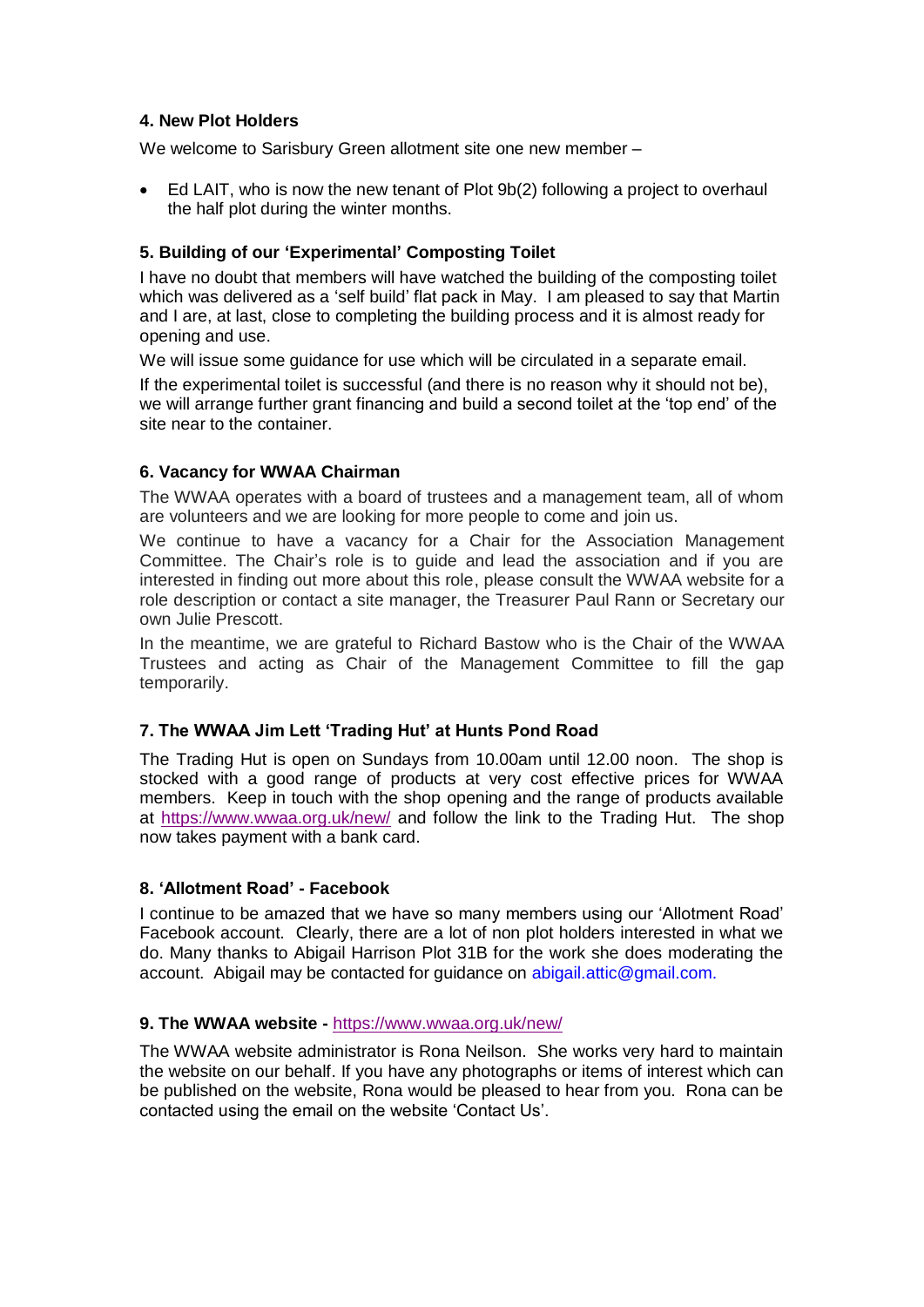# **4. New Plot Holders**

We welcome to Sarisbury Green allotment site one new member –

• Ed LAIT, who is now the new tenant of Plot 9b(2) following a project to overhaul the half plot during the winter months.

# **5. Building of our 'Experimental' Composting Toilet**

I have no doubt that members will have watched the building of the composting toilet which was delivered as a 'self build' flat pack in May. I am pleased to say that Martin and I are, at last, close to completing the building process and it is almost ready for opening and use.

We will issue some guidance for use which will be circulated in a separate email.

If the experimental toilet is successful (and there is no reason why it should not be), we will arrange further grant financing and build a second toilet at the 'top end' of the site near to the container.

# **6. Vacancy for WWAA Chairman**

The WWAA operates with a board of trustees and a management team, all of whom are volunteers and we are looking for more people to come and join us.

We continue to have a vacancy for a Chair for the Association Management Committee. The Chair's role is to guide and lead the association and if you are interested in finding out more about this role, please consult the WWAA website for a role description or contact a site manager, the Treasurer Paul Rann or Secretary our own Julie Prescott.

In the meantime, we are grateful to Richard Bastow who is the Chair of the WWAA Trustees and acting as Chair of the Management Committee to fill the gap temporarily.

# **7. The WWAA Jim Lett 'Trading Hut' at Hunts Pond Road**

The Trading Hut is open on Sundays from 10.00am until 12.00 noon. The shop is stocked with a good range of products at very cost effective prices for WWAA members. Keep in touch with the shop opening and the range of products available at<https://www.wwaa.org.uk/new/> and follow the link to the Trading Hut. The shop now takes payment with a bank card.

# **8. 'Allotment Road' - Facebook**

I continue to be amazed that we have so many members using our 'Allotment Road' Facebook account. Clearly, there are a lot of non plot holders interested in what we do. Many thanks to Abigail Harrison Plot 31B for the work she does moderating the account. Abigail may be contacted for guidance on abigail.attic@gmail.com.

#### **9. The WWAA website -** <https://www.wwaa.org.uk/new/>

The WWAA website administrator is Rona Neilson. She works very hard to maintain the website on our behalf. If you have any photographs or items of interest which can be published on the website, Rona would be pleased to hear from you. Rona can be contacted using the email on the website 'Contact Us'.